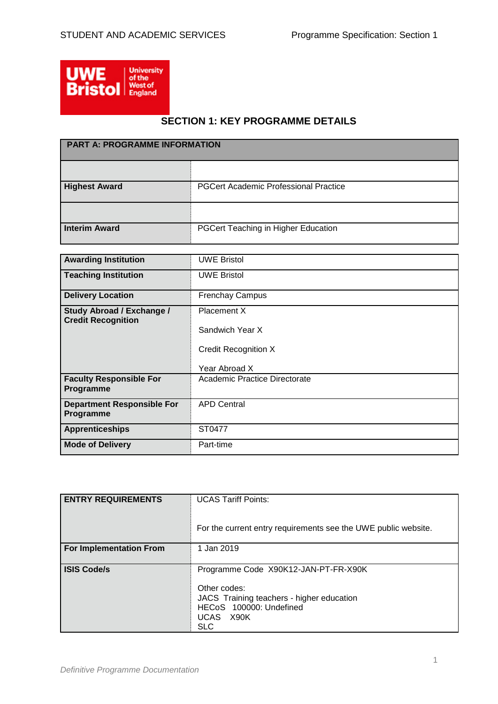

# **SECTION 1: KEY PROGRAMME DETAILS**

| <b>PART A: PROGRAMME INFORMATION</b> |                                              |
|--------------------------------------|----------------------------------------------|
|                                      |                                              |
| <b>Highest Award</b>                 | <b>PGCert Academic Professional Practice</b> |
|                                      |                                              |
| <b>Interim Award</b>                 | PGCert Teaching in Higher Education          |

| <b>Awarding Institution</b>                                   | <b>UWE Bristol</b>            |
|---------------------------------------------------------------|-------------------------------|
| <b>Teaching Institution</b>                                   | <b>UWE Bristol</b>            |
| <b>Delivery Location</b>                                      | <b>Frenchay Campus</b>        |
| <b>Study Abroad / Exchange /</b><br><b>Credit Recognition</b> | Placement X                   |
|                                                               | Sandwich Year X               |
|                                                               | <b>Credit Recognition X</b>   |
|                                                               | Year Abroad X                 |
| <b>Faculty Responsible For</b><br>Programme                   | Academic Practice Directorate |
| <b>Department Responsible For</b><br>Programme                | <b>APD Central</b>            |
| <b>Apprenticeships</b>                                        | ST0477                        |
| <b>Mode of Delivery</b>                                       | Part-time                     |

| <b>ENTRY REQUIREMENTS</b> | <b>UCAS Tariff Points:</b><br>For the current entry requirements see the UWE public website.                                                            |
|---------------------------|---------------------------------------------------------------------------------------------------------------------------------------------------------|
| For Implementation From   | 1 Jan 2019                                                                                                                                              |
| <b>ISIS Code/s</b>        | Programme Code X90K12-JAN-PT-FR-X90K<br>Other codes:<br>JACS Training teachers - higher education<br>HECoS 100000: Undefined<br>UCAS X90K<br><b>SLC</b> |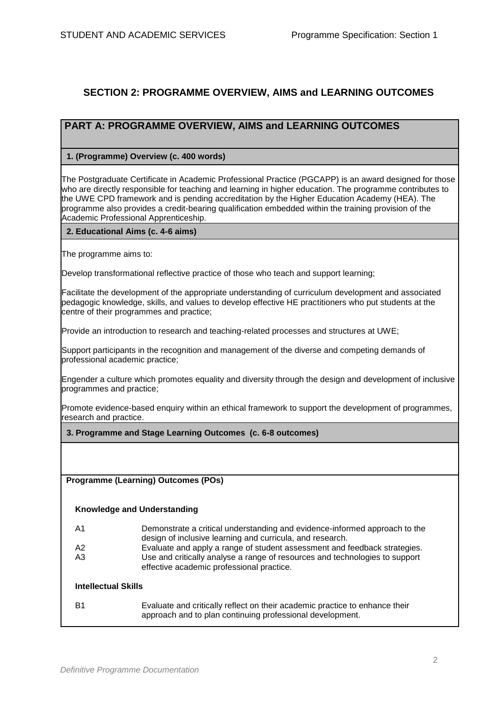# **SECTION 2: PROGRAMME OVERVIEW, AIMS and LEARNING OUTCOMES**

## **PART A: PROGRAMME OVERVIEW, AIMS and LEARNING OUTCOMES**

### **1. (Programme) Overview (c. 400 words)**

The Postgraduate Certificate in Academic Professional Practice (PGCAPP) is an award designed for those who are directly responsible for teaching and learning in higher education. The programme contributes to the UWE CPD framework and is pending accreditation by the Higher Education Academy (HEA). The programme also provides a credit-bearing qualification embedded within the training provision of the Academic Professional Apprenticeship.

#### **2. Educational Aims (c. 4-6 aims)**

The programme aims to:

Develop transformational reflective practice of those who teach and support learning;

Facilitate the development of the appropriate understanding of curriculum development and associated pedagogic knowledge, skills, and values to develop effective HE practitioners who put students at the centre of their programmes and practice;

Provide an introduction to research and teaching-related processes and structures at UWE;

Support participants in the recognition and management of the diverse and competing demands of professional academic practice;

Engender a culture which promotes equality and diversity through the design and development of inclusive programmes and practice;

Promote evidence-based enquiry within an ethical framework to support the development of programmes, research and practice.

**3. Programme and Stage Learning Outcomes (c. 6-8 outcomes)**

**Programme (Learning) Outcomes (POs)**

### **Knowledge and Understanding**

| - A1 | Demonstrate a critical understanding and evidence-informed approach to the<br>design of inclusive learning and curricula, and research. |
|------|-----------------------------------------------------------------------------------------------------------------------------------------|
| - A2 | Evaluate and apply a range of student assessment and feedback strategies.                                                               |
| A3   | Use and critically analyse a range of resources and technologies to support                                                             |
|      | effective academic professional practice.                                                                                               |

### **Intellectual Skills**

B1 Evaluate and critically reflect on their academic practice to enhance their approach and to plan continuing professional development.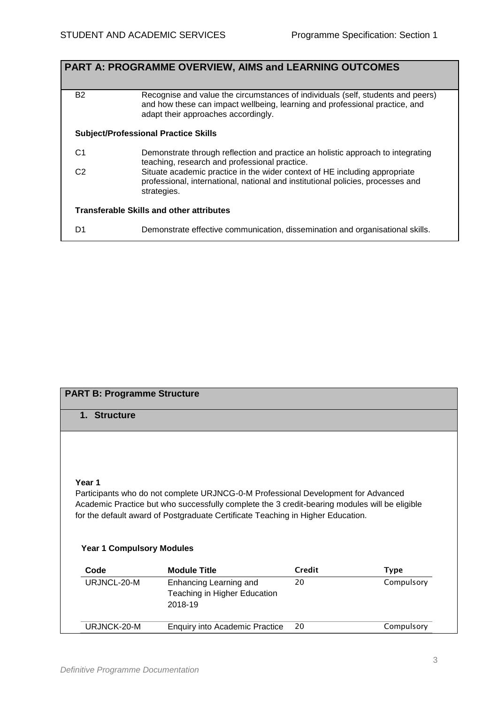|                | <b>PART A: PROGRAMME OVERVIEW, AIMS and LEARNING OUTCOMES</b>                                                                                                                                         |
|----------------|-------------------------------------------------------------------------------------------------------------------------------------------------------------------------------------------------------|
| B <sub>2</sub> | Recognise and value the circumstances of individuals (self, students and peers)<br>and how these can impact wellbeing, learning and professional practice, and<br>adapt their approaches accordingly. |
|                | <b>Subject/Professional Practice Skills</b>                                                                                                                                                           |
| C <sub>1</sub> | Demonstrate through reflection and practice an holistic approach to integrating<br>teaching, research and professional practice.                                                                      |
| C <sub>2</sub> | Situate academic practice in the wider context of HE including appropriate<br>professional, international, national and institutional policies, processes and<br>strategies.                          |
|                | <b>Transferable Skills and other attributes</b>                                                                                                                                                       |
| D1             | Demonstrate effective communication, dissemination and organisational skills.                                                                                                                         |

# **PART B: Programme Structure**

## **1. Structure**

## **Year 1**

Participants who do not complete URJNCG-0-M Professional Development for Advanced Academic Practice but who successfully complete the 3 credit-bearing modules will be eligible for the default award of Postgraduate Certificate Teaching in Higher Education.

### **Year 1 Compulsory Modules**

| Code        | <b>Module Title</b>                                               | Credit | Type       |
|-------------|-------------------------------------------------------------------|--------|------------|
| URJNCL-20-M | Enhancing Learning and<br>Teaching in Higher Education<br>2018-19 | 20     | Compulsory |
| URJNCK-20-M | <b>Enquiry into Academic Practice</b>                             | 20     | Compulsory |